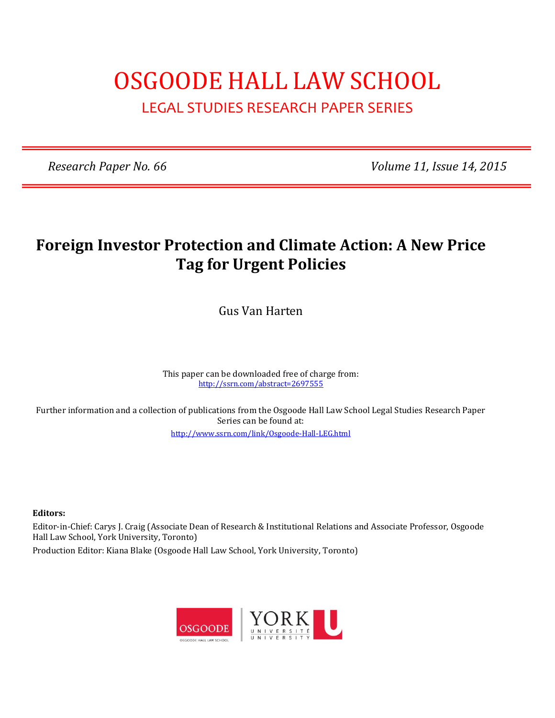# OSGOODE HALL LAW SCHOOL LEGAL STUDIES RESEARCH PAPER SERIES

*Research Paper No. 66 Volume 11, Issue 14, 2015*

## **Foreign Investor Protection and Climate Action: A New Price Tag for Urgent Policies**

Gus Van Harten

This paper can be downloaded free of charge from: <http://ssrn.com/abstract=2697555>

Further information and a collection of publications from the Osgoode Hall Law School Legal Studies Research Paper Series can be found at:

<http://www.ssrn.com/link/Osgoode-Hall-LEG.html>

**Editors:**

Editor-in-Chief: Carys J. Craig (Associate Dean of Research & Institutional Relations and Associate Professor, Osgoode Hall Law School, York University, Toronto)

Production Editor: Kiana Blake (Osgoode Hall Law School, York University, Toronto)

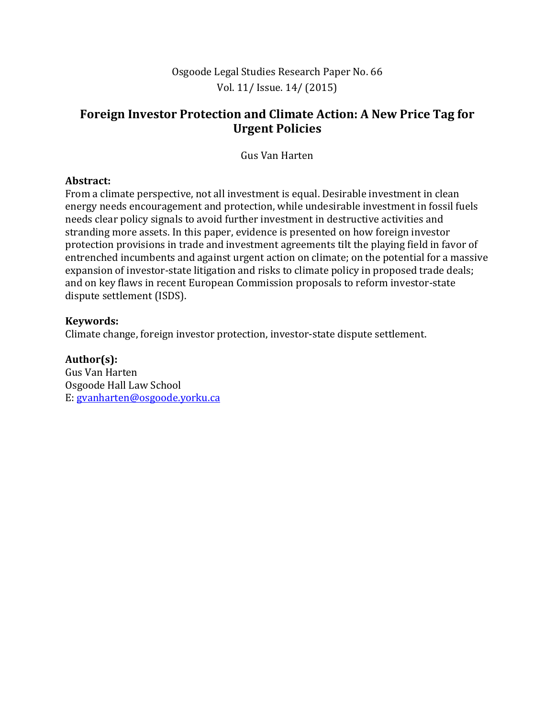### **Foreign Investor Protection and Climate Action: A New Price Tag for Urgent Policies**

Gus Van Harten

#### **Abstract:**

From a climate perspective, not all investment is equal. Desirable investment in clean energy needs encouragement and protection, while undesirable investment in fossil fuels needs clear policy signals to avoid further investment in destructive activities and stranding more assets. In this paper, evidence is presented on how foreign investor protection provisions in trade and investment agreements tilt the playing field in favor of entrenched incumbents and against urgent action on climate; on the potential for a massive expansion of investor-state litigation and risks to climate policy in proposed trade deals; and on key flaws in recent European Commission proposals to reform investor-state dispute settlement (ISDS).

#### **Keywords:**

Climate change, foreign investor protection, investor-state dispute settlement.

**Author(s):** Gus Van Harten Osgoode Hall Law School E[: gvanharten@osgoode.yorku.ca](mailto:gvanharten@osgoode.yorku.ca)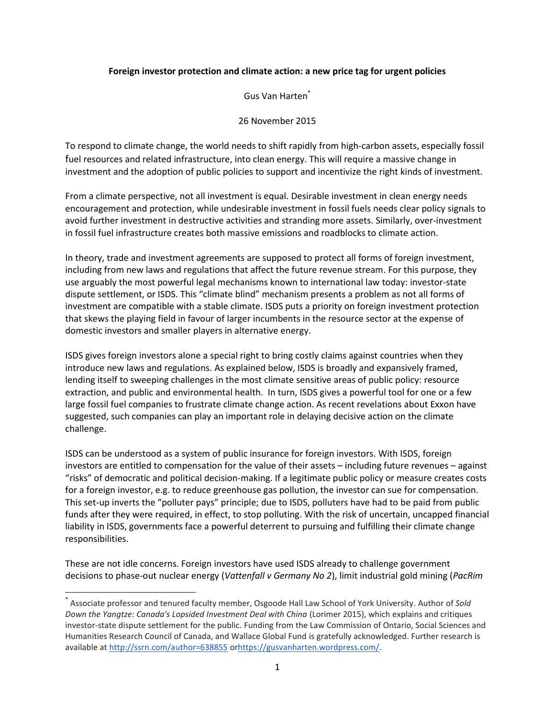#### **Foreign investor protection and climate action: a new price tag for urgent policies**

Gus Van Harten\*

26 November 2015

To respond to climate change, the world needs to shift rapidly from high-carbon assets, especially fossil fuel resources and related infrastructure, into clean energy. This will require a massive change in investment and the adoption of public policies to support and incentivize the right kinds of investment.

From a climate perspective, not all investment is equal. Desirable investment in clean energy needs encouragement and protection, while undesirable investment in fossil fuels needs clear policy signals to avoid further investment in destructive activities and stranding more assets. Similarly, over-investment in fossil fuel infrastructure creates both massive emissions and roadblocks to climate action.

In theory, trade and investment agreements are supposed to protect all forms of foreign investment, including from new laws and regulations that affect the future revenue stream. For this purpose, they use arguably the most powerful legal mechanisms known to international law today: investor-state dispute settlement, or ISDS. This "climate blind" mechanism presents a problem as not all forms of investment are compatible with a stable climate. ISDS puts a priority on foreign investment protection that skews the playing field in favour of larger incumbents in the resource sector at the expense of domestic investors and smaller players in alternative energy.

ISDS gives foreign investors alone a special right to bring costly claims against countries when they introduce new laws and regulations. As explained below, ISDS is broadly and expansively framed, lending itself to sweeping challenges in the most climate sensitive areas of public policy: resource extraction, and public and environmental health. In turn, ISDS gives a powerful tool for one or a few large fossil fuel companies to frustrate climate change action. As recent revelations about Exxon have suggested, such companies can play an important role in delaying decisive action on the climate challenge.

ISDS can be understood as a system of public insurance for foreign investors. With ISDS, foreign investors are entitled to compensation for the value of their assets – including future revenues – against "risks" of democratic and political decision-making. If a legitimate public policy or measure creates costs for a foreign investor, e.g. to reduce greenhouse gas pollution, the investor can sue for compensation. This set-up inverts the "polluter pays" principle; due to ISDS, polluters have had to be paid from public funds after they were required, in effect, to stop polluting. With the risk of uncertain, uncapped financial liability in ISDS, governments face a powerful deterrent to pursuing and fulfilling their climate change responsibilities.

These are not idle concerns. Foreign investors have used ISDS already to challenge government decisions to phase-out nuclear energy (*Vattenfall v Germany No 2*), limit industrial gold mining (*PacRim* 

l

<sup>\*</sup> Associate professor and tenured faculty member, Osgoode Hall Law School of York University. Author of *Sold Down the Yangtze: Canada's Lopsided Investment Deal with China* (Lorimer 2015), which explains and critiques investor-state dispute settlement for the public. Funding from the Law Commission of Ontario, Social Sciences and Humanities Research Council of Canada, and Wallace Global Fund is gratefully acknowledged. Further research is available at <http://ssrn.com/author=638855> o[rhttps://gusvanharten.wordpress.com/.](https://gusvanharten.wordpress.com/)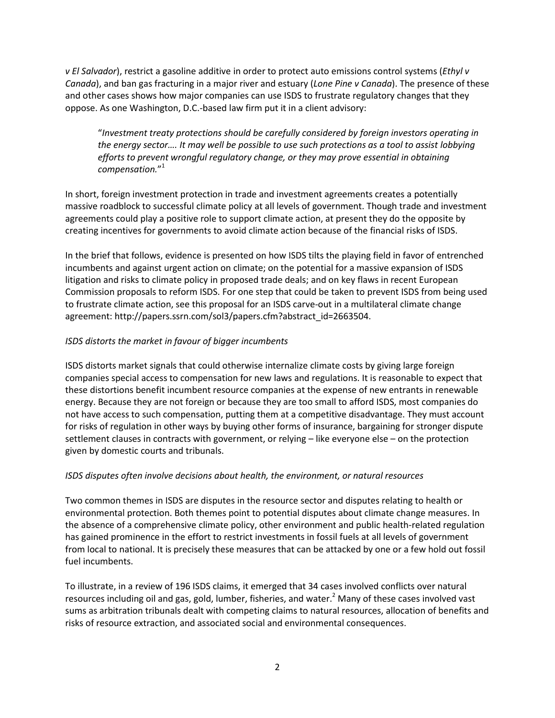*v El Salvador*), restrict a gasoline additive in order to protect auto emissions control systems (*Ethyl v Canada*), and ban gas fracturing in a major river and estuary (*Lone Pine v Canada*). The presence of these and other cases shows how major companies can use ISDS to frustrate regulatory changes that they oppose. As one Washington, D.C.-based law firm put it in a client advisory:

"*Investment treaty protections should be carefully considered by foreign investors operating in the energy sector.... It may well be possible to use such protections as a tool to assist lobbying efforts to prevent wrongful regulatory change, or they may prove essential in obtaining compensation.*" 1

In short, foreign investment protection in trade and investment agreements creates a potentially massive roadblock to successful climate policy at all levels of government. Though trade and investment agreements could play a positive role to support climate action, at present they do the opposite by creating incentives for governments to avoid climate action because of the financial risks of ISDS.

In the brief that follows, evidence is presented on how ISDS tilts the playing field in favor of entrenched incumbents and against urgent action on climate; on the potential for a massive expansion of ISDS litigation and risks to climate policy in proposed trade deals; and on key flaws in recent European Commission proposals to reform ISDS. For one step that could be taken to prevent ISDS from being used to frustrate climate action, see this proposal for an ISDS carve-out in a multilateral climate change agreement: http://papers.ssrn.com/sol3/papers.cfm?abstract\_id=2663504.

#### *ISDS distorts the market in favour of bigger incumbents*

ISDS distorts market signals that could otherwise internalize climate costs by giving large foreign companies special access to compensation for new laws and regulations. It is reasonable to expect that these distortions benefit incumbent resource companies at the expense of new entrants in renewable energy. Because they are not foreign or because they are too small to afford ISDS, most companies do not have access to such compensation, putting them at a competitive disadvantage. They must account for risks of regulation in other ways by buying other forms of insurance, bargaining for stronger dispute settlement clauses in contracts with government, or relying – like everyone else – on the protection given by domestic courts and tribunals.

#### *ISDS disputes often involve decisions about health, the environment, or natural resources*

Two common themes in ISDS are disputes in the resource sector and disputes relating to health or environmental protection. Both themes point to potential disputes about climate change measures. In the absence of a comprehensive climate policy, other environment and public health-related regulation has gained prominence in the effort to restrict investments in fossil fuels at all levels of government from local to national. It is precisely these measures that can be attacked by one or a few hold out fossil fuel incumbents.

To illustrate, in a review of 196 ISDS claims, it emerged that 34 cases involved conflicts over natural resources including oil and gas, gold, lumber, fisheries, and water.<sup>2</sup> Many of these cases involved vast sums as arbitration tribunals dealt with competing claims to natural resources, allocation of benefits and risks of resource extraction, and associated social and environmental consequences.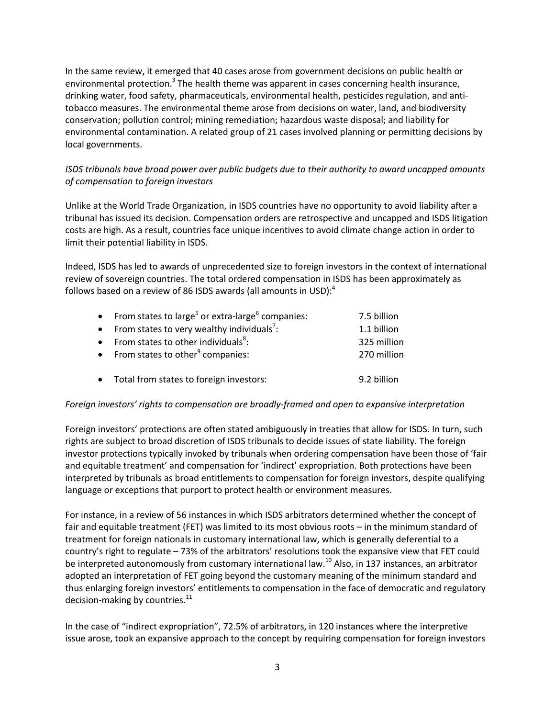In the same review, it emerged that 40 cases arose from government decisions on public health or environmental protection.<sup>3</sup> The health theme was apparent in cases concerning health insurance, drinking water, food safety, pharmaceuticals, environmental health, pesticides regulation, and antitobacco measures. The environmental theme arose from decisions on water, land, and biodiversity conservation; pollution control; mining remediation; hazardous waste disposal; and liability for environmental contamination. A related group of 21 cases involved planning or permitting decisions by local governments.

#### *ISDS tribunals have broad power over public budgets due to their authority to award uncapped amounts of compensation to foreign investors*

Unlike at the World Trade Organization, in ISDS countries have no opportunity to avoid liability after a tribunal has issued its decision. Compensation orders are retrospective and uncapped and ISDS litigation costs are high. As a result, countries face unique incentives to avoid climate change action in order to limit their potential liability in ISDS.

Indeed, ISDS has led to awards of unprecedented size to foreign investors in the context of international review of sovereign countries. The total ordered compensation in ISDS has been approximately as follows based on a review of 86 ISDS awards (all amounts in USD): $<sup>4</sup>$ </sup>

| • From states to large <sup>5</sup> or extra-large <sup>6</sup> companies: | 7.5 billion |
|----------------------------------------------------------------------------|-------------|
| • From states to very wealthy individuals <sup>7</sup> :                   | 1.1 billion |
| • From states to other individuals <sup>8</sup> :                          | 325 million |
| • From states to other $9$ companies:                                      | 270 million |
|                                                                            |             |
| • Total from states to foreign investors:                                  | 9.2 billion |

#### *Foreign investors' rights to compensation are broadly-framed and open to expansive interpretation*

Foreign investors' protections are often stated ambiguously in treaties that allow for ISDS. In turn, such rights are subject to broad discretion of ISDS tribunals to decide issues of state liability. The foreign investor protections typically invoked by tribunals when ordering compensation have been those of 'fair and equitable treatment' and compensation for 'indirect' expropriation. Both protections have been interpreted by tribunals as broad entitlements to compensation for foreign investors, despite qualifying language or exceptions that purport to protect health or environment measures.

For instance, in a review of 56 instances in which ISDS arbitrators determined whether the concept of fair and equitable treatment (FET) was limited to its most obvious roots – in the minimum standard of treatment for foreign nationals in customary international law, which is generally deferential to a country's right to regulate – 73% of the arbitrators' resolutions took the expansive view that FET could be interpreted autonomously from customary international law.<sup>10</sup> Also, in 137 instances, an arbitrator adopted an interpretation of FET going beyond the customary meaning of the minimum standard and thus enlarging foreign investors' entitlements to compensation in the face of democratic and regulatory decision-making by countries. $^{11}$ 

In the case of "indirect expropriation", 72.5% of arbitrators, in 120 instances where the interpretive issue arose, took an expansive approach to the concept by requiring compensation for foreign investors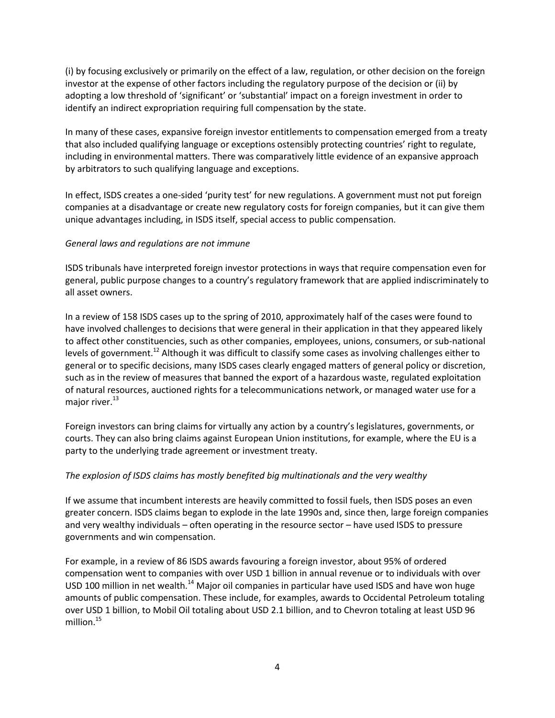(i) by focusing exclusively or primarily on the effect of a law, regulation, or other decision on the foreign investor at the expense of other factors including the regulatory purpose of the decision or (ii) by adopting a low threshold of 'significant' or 'substantial' impact on a foreign investment in order to identify an indirect expropriation requiring full compensation by the state.

In many of these cases, expansive foreign investor entitlements to compensation emerged from a treaty that also included qualifying language or exceptions ostensibly protecting countries' right to regulate, including in environmental matters. There was comparatively little evidence of an expansive approach by arbitrators to such qualifying language and exceptions.

In effect, ISDS creates a one-sided 'purity test' for new regulations. A government must not put foreign companies at a disadvantage or create new regulatory costs for foreign companies, but it can give them unique advantages including, in ISDS itself, special access to public compensation.

#### *General laws and regulations are not immune*

ISDS tribunals have interpreted foreign investor protections in ways that require compensation even for general, public purpose changes to a country's regulatory framework that are applied indiscriminately to all asset owners.

In a review of 158 ISDS cases up to the spring of 2010, approximately half of the cases were found to have involved challenges to decisions that were general in their application in that they appeared likely to affect other constituencies, such as other companies, employees, unions, consumers, or sub-national levels of government.<sup>12</sup> Although it was difficult to classify some cases as involving challenges either to general or to specific decisions, many ISDS cases clearly engaged matters of general policy or discretion, such as in the review of measures that banned the export of a hazardous waste, regulated exploitation of natural resources, auctioned rights for a telecommunications network, or managed water use for a major river. $^{13}$ 

Foreign investors can bring claims for virtually any action by a country's legislatures, governments, or courts. They can also bring claims against European Union institutions, for example, where the EU is a party to the underlying trade agreement or investment treaty.

#### *The explosion of ISDS claims has mostly benefited big multinationals and the very wealthy*

If we assume that incumbent interests are heavily committed to fossil fuels, then ISDS poses an even greater concern. ISDS claims began to explode in the late 1990s and, since then, large foreign companies and very wealthy individuals – often operating in the resource sector – have used ISDS to pressure governments and win compensation.

For example, in a review of 86 ISDS awards favouring a foreign investor, about 95% of ordered compensation went to companies with over USD 1 billion in annual revenue or to individuals with over USD 100 million in net wealth.<sup>14</sup> Major oil companies in particular have used ISDS and have won huge amounts of public compensation. These include, for examples, awards to Occidental Petroleum totaling over USD 1 billion, to Mobil Oil totaling about USD 2.1 billion, and to Chevron totaling at least USD 96 million. 15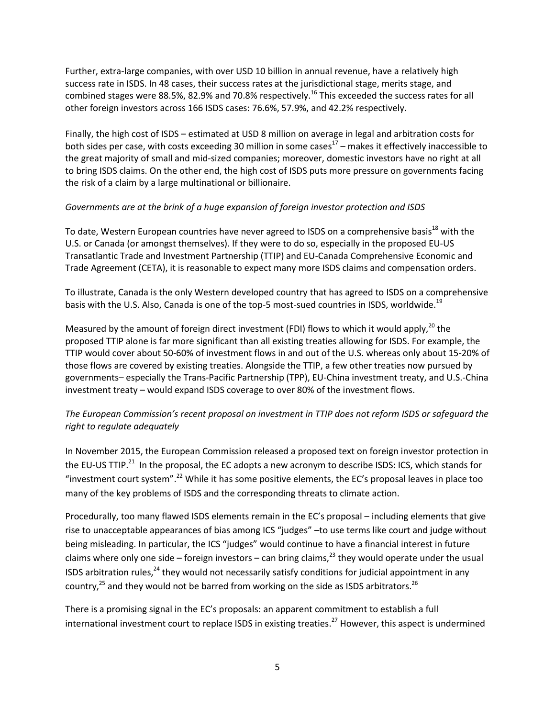Further, extra-large companies, with over USD 10 billion in annual revenue, have a relatively high success rate in ISDS. In 48 cases, their success rates at the jurisdictional stage, merits stage, and combined stages were 88.5%, 82.9% and 70.8% respectively.<sup>16</sup> This exceeded the success rates for all other foreign investors across 166 ISDS cases: 76.6%, 57.9%, and 42.2% respectively.

Finally, the high cost of ISDS – estimated at USD 8 million on average in legal and arbitration costs for both sides per case, with costs exceeding 30 million in some cases<sup>17</sup> – makes it effectively inaccessible to the great majority of small and mid-sized companies; moreover, domestic investors have no right at all to bring ISDS claims. On the other end, the high cost of ISDS puts more pressure on governments facing the risk of a claim by a large multinational or billionaire.

#### *Governments are at the brink of a huge expansion of foreign investor protection and ISDS*

To date, Western European countries have never agreed to ISDS on a comprehensive basis<sup>18</sup> with the U.S. or Canada (or amongst themselves). If they were to do so, especially in the proposed EU-US Transatlantic Trade and Investment Partnership (TTIP) and EU-Canada Comprehensive Economic and Trade Agreement (CETA), it is reasonable to expect many more ISDS claims and compensation orders.

To illustrate, Canada is the only Western developed country that has agreed to ISDS on a comprehensive basis with the U.S. Also, Canada is one of the top-5 most-sued countries in ISDS, worldwide.<sup>19</sup>

Measured by the amount of foreign direct investment (FDI) flows to which it would apply,<sup>20</sup> the proposed TTIP alone is far more significant than all existing treaties allowing for ISDS. For example, the TTIP would cover about 50-60% of investment flows in and out of the U.S. whereas only about 15-20% of those flows are covered by existing treaties. Alongside the TTIP, a few other treaties now pursued by governments– especially the Trans-Pacific Partnership (TPP), EU-China investment treaty, and U.S.-China investment treaty – would expand ISDS coverage to over 80% of the investment flows.

#### *The European Commission's recent proposal on investment in TTIP does not reform ISDS or safeguard the right to regulate adequately*

In November 2015, the European Commission released a proposed text on foreign investor protection in the EU-US TTIP.<sup>21</sup> In the proposal, the EC adopts a new acronym to describe ISDS: ICS, which stands for "investment court system".<sup>22</sup> While it has some positive elements, the EC's proposal leaves in place too many of the key problems of ISDS and the corresponding threats to climate action.

Procedurally, too many flawed ISDS elements remain in the EC's proposal – including elements that give rise to unacceptable appearances of bias among ICS "judges" –to use terms like court and judge without being misleading. In particular, the ICS "judges" would continue to have a financial interest in future claims where only one side – foreign investors – can bring claims,<sup>23</sup> they would operate under the usual ISDS arbitration rules,  $24$  they would not necessarily satisfy conditions for judicial appointment in any country, $^{25}$  and they would not be barred from working on the side as ISDS arbitrators.<sup>26</sup>

There is a promising signal in the EC's proposals: an apparent commitment to establish a full international investment court to replace ISDS in existing treaties.<sup>27</sup> However, this aspect is undermined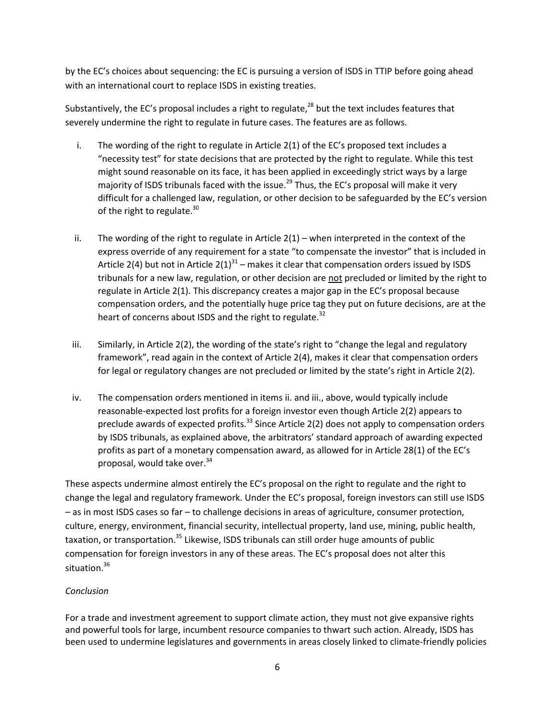by the EC's choices about sequencing: the EC is pursuing a version of ISDS in TTIP before going ahead with an international court to replace ISDS in existing treaties.

Substantively, the EC's proposal includes a right to regulate, $^{28}$  but the text includes features that severely undermine the right to regulate in future cases. The features are as follows.

- i. The wording of the right to regulate in Article 2(1) of the EC's proposed text includes a "necessity test" for state decisions that are protected by the right to regulate. While this test might sound reasonable on its face, it has been applied in exceedingly strict ways by a large majority of ISDS tribunals faced with the issue.<sup>29</sup> Thus, the EC's proposal will make it very difficult for a challenged law, regulation, or other decision to be safeguarded by the EC's version of the right to regulate. $30$
- ii. The wording of the right to regulate in Article  $2(1)$  when interpreted in the context of the express override of any requirement for a state "to compensate the investor" that is included in Article 2(4) but not in Article 2(1)<sup>31</sup> – makes it clear that compensation orders issued by ISDS tribunals for a new law, regulation, or other decision are not precluded or limited by the right to regulate in Article 2(1). This discrepancy creates a major gap in the EC's proposal because compensation orders, and the potentially huge price tag they put on future decisions, are at the heart of concerns about ISDS and the right to regulate.<sup>32</sup>
- iii. Similarly, in Article 2(2), the wording of the state's right to "change the legal and regulatory framework", read again in the context of Article 2(4), makes it clear that compensation orders for legal or regulatory changes are not precluded or limited by the state's right in Article 2(2).
- iv. The compensation orders mentioned in items ii. and iii., above, would typically include reasonable-expected lost profits for a foreign investor even though Article 2(2) appears to preclude awards of expected profits.<sup>33</sup> Since Article 2(2) does not apply to compensation orders by ISDS tribunals, as explained above, the arbitrators' standard approach of awarding expected profits as part of a monetary compensation award, as allowed for in Article 28(1) of the EC's proposal, would take over. 34

These aspects undermine almost entirely the EC's proposal on the right to regulate and the right to change the legal and regulatory framework. Under the EC's proposal, foreign investors can still use ISDS – as in most ISDS cases so far – to challenge decisions in areas of agriculture, consumer protection, culture, energy, environment, financial security, intellectual property, land use, mining, public health, taxation, or transportation.<sup>35</sup> Likewise, ISDS tribunals can still order huge amounts of public compensation for foreign investors in any of these areas. The EC's proposal does not alter this situation.<sup>36</sup>

#### *Conclusion*

For a trade and investment agreement to support climate action, they must not give expansive rights and powerful tools for large, incumbent resource companies to thwart such action. Already, ISDS has been used to undermine legislatures and governments in areas closely linked to climate-friendly policies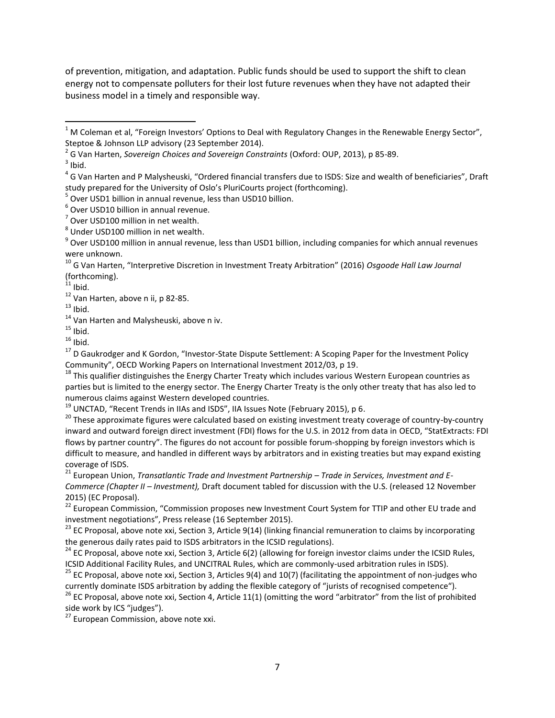of prevention, mitigation, and adaptation. Public funds should be used to support the shift to clean energy not to compensate polluters for their lost future revenues when they have not adapted their business model in a timely and responsible way.

 $3$  Ibid.

 $\overline{\phantom{a}}$ 

 $13$  Ibid.

<sup>17</sup> D Gaukrodger and K Gordon, "Investor-State Dispute Settlement: A Scoping Paper for the Investment Policy Community", OECD Working Papers on International Investment 2012/03, p 19.

 $18$  This qualifier distinguishes the Energy Charter Treaty which includes various Western European countries as parties but is limited to the energy sector. The Energy Charter Treaty is the only other treaty that has also led to numerous claims against Western developed countries.

 $19$  UNCTAD, "Recent Trends in IIAs and ISDS", IIA Issues Note (February 2015), p 6.

<sup>20</sup> These approximate figures were calculated based on existing investment treaty coverage of country-by-country inward and outward foreign direct investment (FDI) flows for the U.S. in 2012 from data in OECD, "StatExtracts: FDI flows by partner country". The figures do not account for possible forum-shopping by foreign investors which is difficult to measure, and handled in different ways by arbitrators and in existing treaties but may expand existing coverage of ISDS.

<sup>21</sup> European Union, *Transatlantic Trade and Investment Partnership - Trade in Services, Investment and E-Commerce (Chapter II – Investment),* Draft document tabled for discussion with the U.S. (released 12 November 2015) (EC Proposal).

<sup>22</sup> European Commission, "Commission proposes new Investment Court System for TTIP and other EU trade and investment negotiations", Press release (16 September 2015).

 $^{23}$  EC Proposal, above note xxi, Section 3, Article 9(14) (linking financial remuneration to claims by incorporating the generous daily rates paid to ISDS arbitrators in the ICSID regulations).

 $26$  EC Proposal, above note xxi, Section 4, Article 11(1) (omitting the word "arbitrator" from the list of prohibited side work by ICS "judges").

<sup>27</sup> European Commission, above note xxi.

 $1$  M Coleman et al, "Foreign Investors' Options to Deal with Regulatory Changes in the Renewable Energy Sector", Steptoe & Johnson LLP advisory (23 September 2014).

<sup>2</sup> G Van Harten, *Sovereign Choices and Sovereign Constraints* (Oxford: OUP, 2013), p 85-89.

<sup>&</sup>lt;sup>4</sup> G Van Harten and P Malysheuski, "Ordered financial transfers due to ISDS: Size and wealth of beneficiaries", Draft study prepared for the University of Oslo's PluriCourts project (forthcoming).

<sup>&</sup>lt;sup>5</sup> Over USD1 billion in annual revenue, less than USD10 billion.

<sup>6</sup> Over USD10 billion in annual revenue.

 $7$  Over USD100 million in net wealth.

<sup>&</sup>lt;sup>8</sup> Under USD100 million in net wealth.

<sup>&</sup>lt;sup>9</sup> Over USD100 million in annual revenue, less than USD1 billion, including companies for which annual revenues were unknown.

<sup>10</sup> G Van Harten, "Interpretive Discretion in Investment Treaty Arbitration" (2016) *Osgoode Hall Law Journal* (forthcoming).

 $11$  Ibid.

<sup>12</sup> Van Harten, above n ii, p 82-85.

<sup>&</sup>lt;sup>14</sup> Van Harten and Malysheuski, above n iv.

 $15$  Ibid.

 $16$  Ibid.

 $24$  EC Proposal, above note xxi, Section 3, Article 6(2) (allowing for foreign investor claims under the ICSID Rules, ICSID Additional Facility Rules, and UNCITRAL Rules, which are commonly-used arbitration rules in ISDS).

<sup>&</sup>lt;sup>25</sup> EC Proposal, above note xxi, Section 3, Articles 9(4) and 10(7) (facilitating the appointment of non-judges who currently dominate ISDS arbitration by adding the flexible category of "jurists of recognised competence").